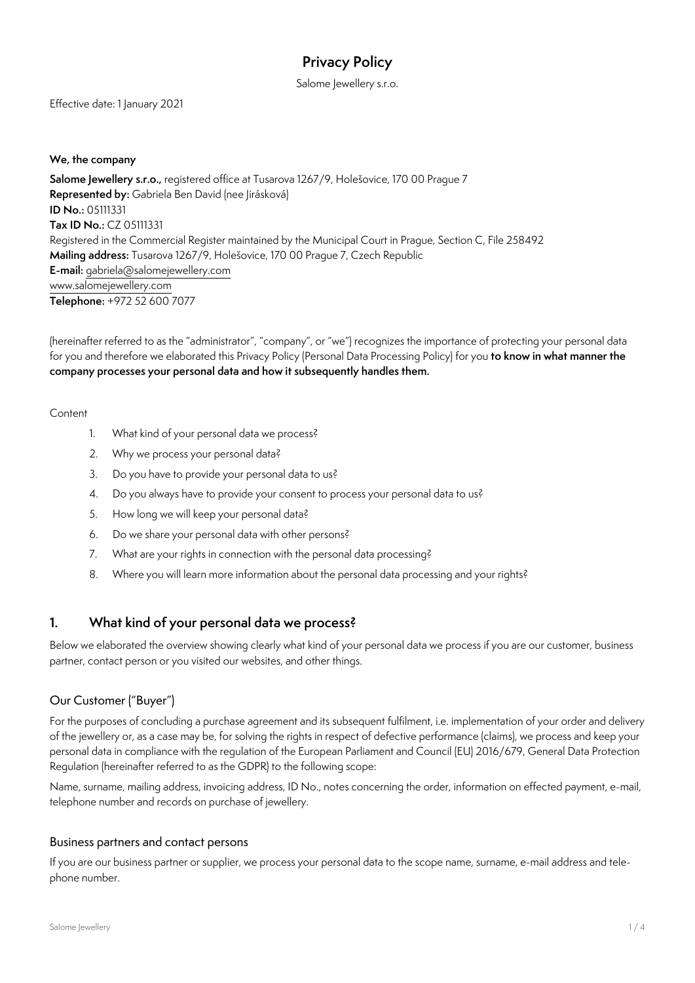# **Privacy Policy**

Salome Jewellery s.r.o.

Effective date: 1 January 2021

#### **We, the company**

**Salome Jewellery s.r.o.,** registered office at Tusarova 1267/9, Holešovice, 170 00 Prague 7 **Represented by:** Gabriela Ben David (nee Jirásková) **ID No.:** 05111331 **Tax ID No.:** CZ 05111331 Registered in the Commercial Register maintained by the Municipal Court in Prague, Section C, File 258492 **Mailing address:** Tusarova 1267/9, Holešovice, 170 00 Prague 7, Czech Republic **E-mail:** [gabriela@salomejewellery.com](mailto:gabriela%40salomejewellery.com?subject=) [www.salomejewellery.com](http://www.salomejewellery.com) **Telephone:** +972 52 600 7077

(hereinafter referred to as the "administrator", "company", or "we") recognizes the importance of protecting your personal data for you and therefore we elaborated this Privacy Policy (Personal Data Processing Policy) for you **to know in what manner the company processes your personal data and how it subsequently handles them.** 

#### **Content**

- 1. What kind of your personal data we process?
- 2. Why we process your personal data?
- 3. Do you have to provide your personal data to us?
- 4. Do you always have to provide your consent to process your personal data to us?
- 5. How long we will keep your personal data?
- 6. Do we share your personal data with other persons?
- 7. What are your rights in connection with the personal data processing?
- 8. Where you will learn more information about the personal data processing and your rights?

### **1. What kind of your personal data we process?**

Below we elaborated the overview showing clearly what kind of your personal data we process if you are our customer, business partner, contact person or you visited our websites, and other things.

### Our Customer ("Buyer")

For the purposes of concluding a purchase agreement and its subsequent fulfilment, i.e. implementation of your order and delivery of the jewellery or, as a case may be, for solving the rights in respect of defective performance (claims), we process and keep your personal data in compliance with the regulation of the European Parliament and Council (EU) 2016/679, General Data Protection Regulation (hereinafter referred to as the GDPR) to the following scope:

Name, surname, mailing address, invoicing address, ID No., notes concerning the order, information on effected payment, e-mail, telephone number and records on purchase of jewellery.

#### Business partners and contact persons

If you are our business partner or supplier, we process your personal data to the scope name, surname, e-mail address and telephone number.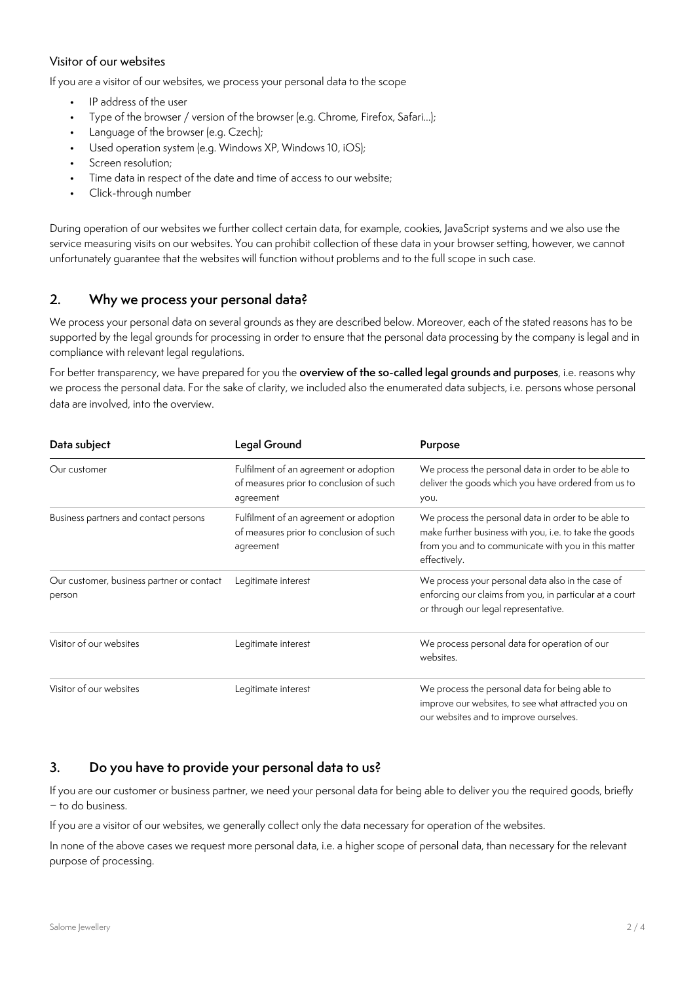#### Visitor of our websites

If you are a visitor of our websites, we process your personal data to the scope

- IP address of the user
- Type of the browser / version of the browser (e.g. Chrome, Firefox, Safari...);
- Language of the browser (e.g. Czech);
- Used operation system (e.g. Windows XP, Windows 10, iOS);
- Screen resolution;
- Time data in respect of the date and time of access to our website;
- Click-through number

During operation of our websites we further collect certain data, for example, cookies, JavaScript systems and we also use the service measuring visits on our websites. You can prohibit collection of these data in your browser setting, however, we cannot unfortunately guarantee that the websites will function without problems and to the full scope in such case.

### **2. Why we process your personal data?**

We process your personal data on several grounds as they are described below. Moreover, each of the stated reasons has to be supported by the legal grounds for processing in order to ensure that the personal data processing by the company is legal and in compliance with relevant legal regulations.

For better transparency, we have prepared for you the **overview of the so-called legal grounds and purposes**, i.e. reasons why we process the personal data. For the sake of clarity, we included also the enumerated data subjects, i.e. persons whose personal data are involved, into the overview.

| Data subject                                        | Legal Ground                                                                                   | Purpose                                                                                                                                                                              |
|-----------------------------------------------------|------------------------------------------------------------------------------------------------|--------------------------------------------------------------------------------------------------------------------------------------------------------------------------------------|
| Our customer                                        | Fulfilment of an agreement or adoption<br>of measures prior to conclusion of such<br>agreement | We process the personal data in order to be able to<br>deliver the goods which you have ordered from us to<br>you.                                                                   |
| Business partners and contact persons               | Fulfilment of an agreement or adoption<br>of measures prior to conclusion of such<br>agreement | We process the personal data in order to be able to<br>make further business with you, i.e. to take the goods<br>from you and to communicate with you in this matter<br>effectively. |
| Our customer, business partner or contact<br>person | Legitimate interest                                                                            | We process your personal data also in the case of<br>enforcing our claims from you, in particular at a court<br>or through our legal representative.                                 |
| Visitor of our websites                             | Legitimate interest                                                                            | We process personal data for operation of our<br>websites.                                                                                                                           |
| Visitor of our websites                             | Legitimate interest                                                                            | We process the personal data for being able to<br>improve our websites, to see what attracted you on<br>our websites and to improve ourselves.                                       |

# **3. Do you have to provide your personal data to us?**

If you are our customer or business partner, we need your personal data for being able to deliver you the required goods, briefly − to do business.

If you are a visitor of our websites, we generally collect only the data necessary for operation of the websites.

In none of the above cases we request more personal data, i.e. a higher scope of personal data, than necessary for the relevant purpose of processing.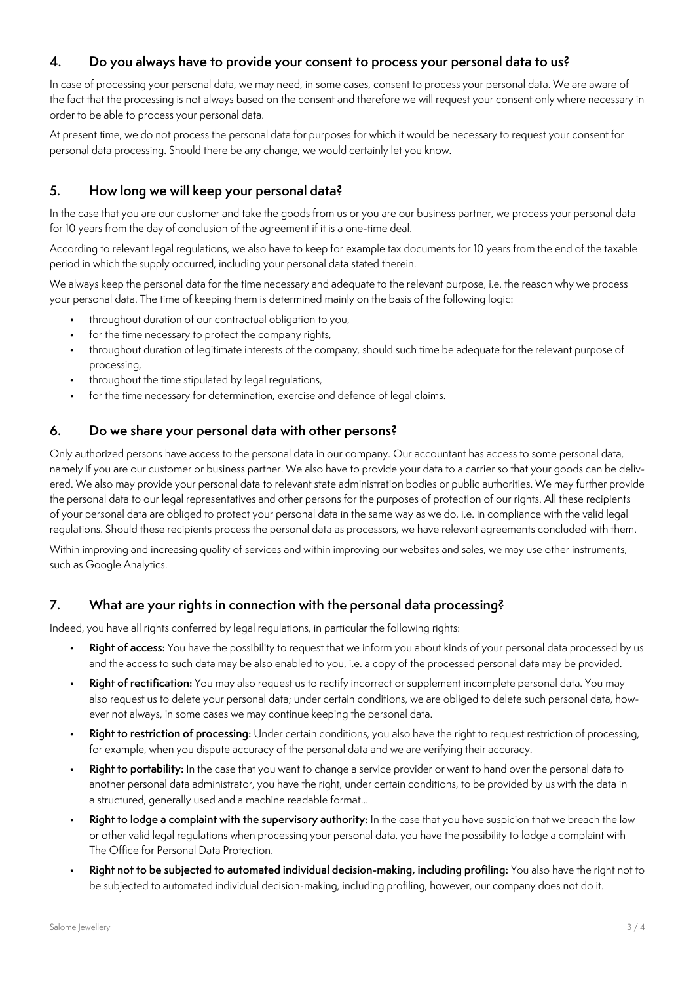## **4. Do you always have to provide your consent to process your personal data to us?**

In case of processing your personal data, we may need, in some cases, consent to process your personal data. We are aware of the fact that the processing is not always based on the consent and therefore we will request your consent only where necessary in order to be able to process your personal data.

At present time, we do not process the personal data for purposes for which it would be necessary to request your consent for personal data processing. Should there be any change, we would certainly let you know.

# **5. How long we will keep your personal data?**

In the case that you are our customer and take the goods from us or you are our business partner, we process your personal data for 10 years from the day of conclusion of the agreement if it is a one-time deal.

According to relevant legal regulations, we also have to keep for example tax documents for 10 years from the end of the taxable period in which the supply occurred, including your personal data stated therein.

We always keep the personal data for the time necessary and adequate to the relevant purpose, i.e. the reason why we process your personal data. The time of keeping them is determined mainly on the basis of the following logic:

- throughout duration of our contractual obligation to you,
- for the time necessary to protect the company rights,
- throughout duration of legitimate interests of the company, should such time be adequate for the relevant purpose of processing,
- throughout the time stipulated by legal regulations,
- for the time necessary for determination, exercise and defence of legal claims.

## **6. Do we share your personal data with other persons?**

Only authorized persons have access to the personal data in our company. Our accountant has access to some personal data, namely if you are our customer or business partner. We also have to provide your data to a carrier so that your goods can be delivered. We also may provide your personal data to relevant state administration bodies or public authorities. We may further provide the personal data to our legal representatives and other persons for the purposes of protection of our rights. All these recipients of your personal data are obliged to protect your personal data in the same way as we do, i.e. in compliance with the valid legal regulations. Should these recipients process the personal data as processors, we have relevant agreements concluded with them.

Within improving and increasing quality of services and within improving our websites and sales, we may use other instruments, such as Google Analytics.

## **7. What are your rights in connection with the personal data processing?**

Indeed, you have all rights conferred by legal regulations, in particular the following rights:

- **Right of access:** You have the possibility to request that we inform you about kinds of your personal data processed by us and the access to such data may be also enabled to you, i.e. a copy of the processed personal data may be provided.
- **Right of rectification:** You may also request us to rectify incorrect or supplement incomplete personal data. You may also request us to delete your personal data; under certain conditions, we are obliged to delete such personal data, however not always, in some cases we may continue keeping the personal data.
- **Right to restriction of processing:** Under certain conditions, you also have the right to request restriction of processing, for example, when you dispute accuracy of the personal data and we are verifying their accuracy.
- **Right to portability:** In the case that you want to change a service provider or want to hand over the personal data to another personal data administrator, you have the right, under certain conditions, to be provided by us with the data in a structured, generally used and a machine readable format...
- **Right to lodge a complaint with the supervisory authority:** In the case that you have suspicion that we breach the law or other valid legal regulations when processing your personal data, you have the possibility to lodge a complaint with The Office for Personal Data Protection.
- **Right not to be subjected to automated individual decision-making, including profiling:** You also have the right not to be subjected to automated individual decision-making, including profiling, however, our company does not do it.